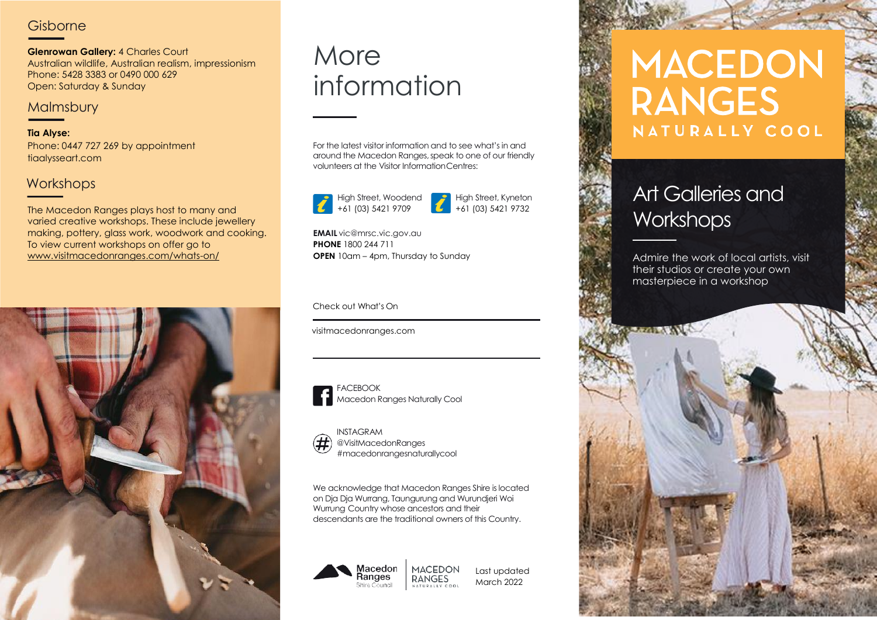## **Gisborne**

**Glenrowan Gallery:** 4 Charles Court Australian wildlife, Australian realism, impressionism Phone: 5428 3383 or 0490 000 629 Open: Saturday & Sunday

### **Malmsbury**

**Tia Alyse:** Phone: 0447 727 269 by appointment tiaalysseart.com

## Workshops

The Macedon Ranges plays host to many and varied creative workshops. These include jewellery making, pottery, glass work, woodwork and cooking. To view current workshops on offer go to www.visitmacedonranges.com/whats-on/



## **More** information

For the latest visitor information and to see what's in and around the Macedon Ranges,speak to one of our friendly volunteers at the Visitor InformationCentres:



High Street, Woodend

High Street, Kyneton +61 (03) 5421 9732

**EMAIL** [vic@mrsc.vic.gov.au](mailto:vic@mrsc.vic.gov.au) **PHONE** 1800 244 711

#### Check out What's On

visitmacedonranges.com



FACEBOOK Macedon Ranges Naturally Cool



INSTAGRAM @VisitMacedonRanges Daylesford Macedon Ranges *#*macedonrangesnaturallycool

We acknowledge that Macedon Ranges Shire is located on Dja Dja Wurrang, Taungurung and Wurundjeri Woi Wurrung Country whose ancestors and their descendants are the traditional owners of this Country.

**RANGES** 



Last updated March 2022 NATURALLY COOL

# **MACEDON RANGES** NATURALLY COOL

## Art Galleries and **Workshops**

**OPEN** 10am – 4pm, Thursday to Sunday **Admire the work of local artists**, visit their studios or create your own masterpiece in a workshop